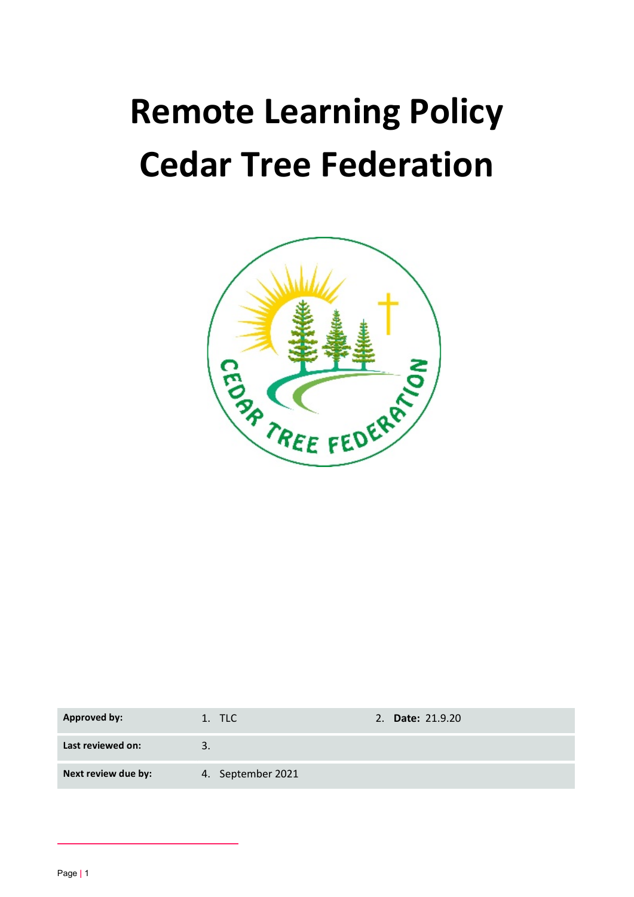# Remote Learning Policy Cedar Tree Federation



| <b>Approved by:</b> | 1. TLC            | 2. Date: 21.9.20 |
|---------------------|-------------------|------------------|
| Last reviewed on:   | 2                 |                  |
| Next review due by: | 4. September 2021 |                  |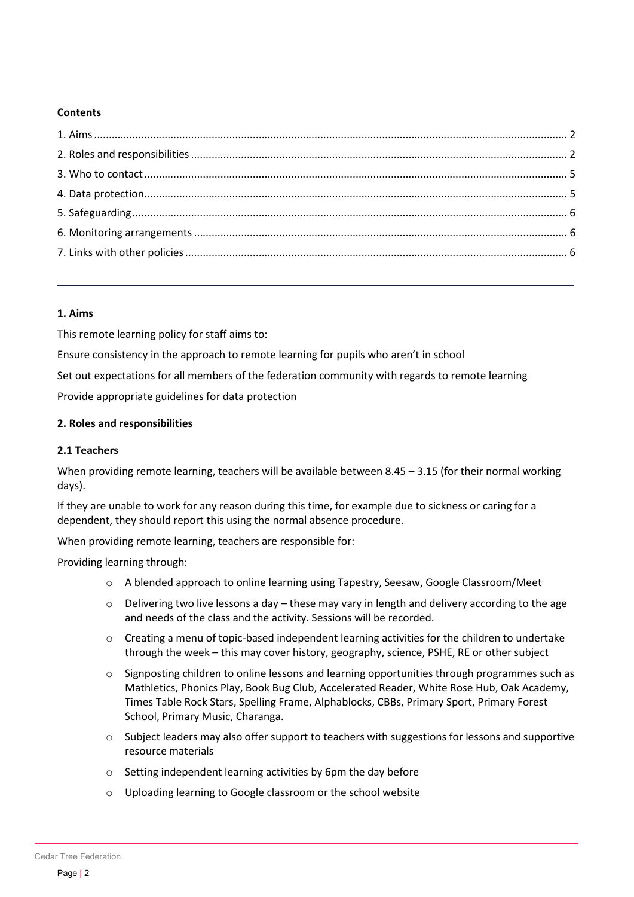### **Contents**

#### 1. Aims

This remote learning policy for staff aims to:

Ensure consistency in the approach to remote learning for pupils who aren't in school

Set out expectations for all members of the federation community with regards to remote learning

Provide appropriate guidelines for data protection

### 2. Roles and responsibilities

#### 2.1 Teachers

When providing remote learning, teachers will be available between 8.45 – 3.15 (for their normal working days).

If they are unable to work for any reason during this time, for example due to sickness or caring for a dependent, they should report this using the normal absence procedure.

When providing remote learning, teachers are responsible for:

Providing learning through:

- o A blended approach to online learning using Tapestry, Seesaw, Google Classroom/Meet
- $\circ$  Delivering two live lessons a day these may vary in length and delivery according to the age and needs of the class and the activity. Sessions will be recorded.
- $\circ$  Creating a menu of topic-based independent learning activities for the children to undertake through the week – this may cover history, geography, science, PSHE, RE or other subject
- o Signposting children to online lessons and learning opportunities through programmes such as Mathletics, Phonics Play, Book Bug Club, Accelerated Reader, White Rose Hub, Oak Academy, Times Table Rock Stars, Spelling Frame, Alphablocks, CBBs, Primary Sport, Primary Forest School, Primary Music, Charanga.
- $\circ$  Subject leaders may also offer support to teachers with suggestions for lessons and supportive resource materials
- o Setting independent learning activities by 6pm the day before
- o Uploading learning to Google classroom or the school website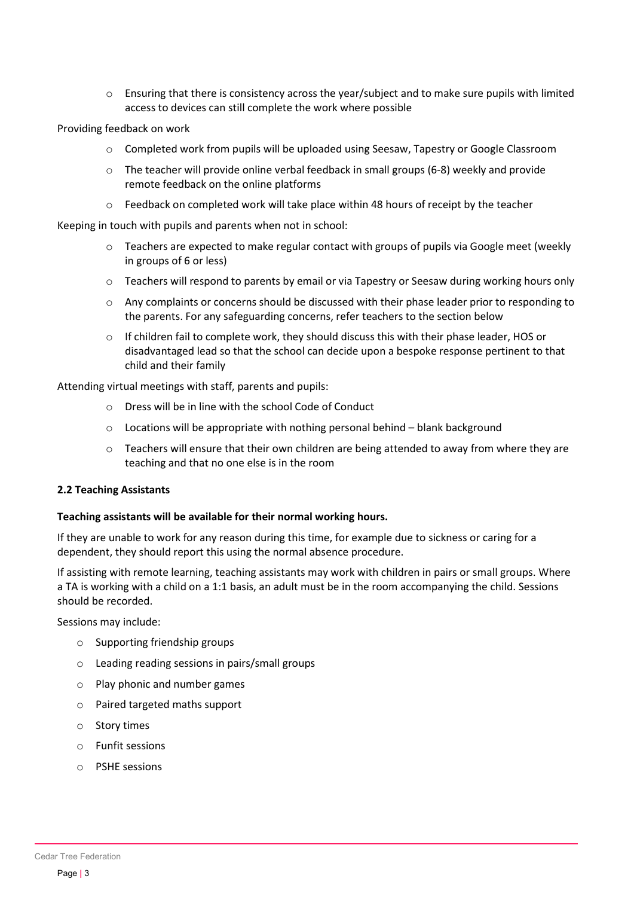o Ensuring that there is consistency across the year/subject and to make sure pupils with limited access to devices can still complete the work where possible

Providing feedback on work

- o Completed work from pupils will be uploaded using Seesaw, Tapestry or Google Classroom
- $\circ$  The teacher will provide online verbal feedback in small groups (6-8) weekly and provide remote feedback on the online platforms
- o Feedback on completed work will take place within 48 hours of receipt by the teacher

Keeping in touch with pupils and parents when not in school:

- $\circ$  Teachers are expected to make regular contact with groups of pupils via Google meet (weekly in groups of 6 or less)
- o Teachers will respond to parents by email or via Tapestry or Seesaw during working hours only
- $\circ$  Any complaints or concerns should be discussed with their phase leader prior to responding to the parents. For any safeguarding concerns, refer teachers to the section below
- $\circ$  If children fail to complete work, they should discuss this with their phase leader, HOS or disadvantaged lead so that the school can decide upon a bespoke response pertinent to that child and their family

Attending virtual meetings with staff, parents and pupils:

- o Dress will be in line with the school Code of Conduct
- $\circ$  Locations will be appropriate with nothing personal behind blank background
- o Teachers will ensure that their own children are being attended to away from where they are teaching and that no one else is in the room

#### 2.2 Teaching Assistants

#### Teaching assistants will be available for their normal working hours.

If they are unable to work for any reason during this time, for example due to sickness or caring for a dependent, they should report this using the normal absence procedure.

If assisting with remote learning, teaching assistants may work with children in pairs or small groups. Where a TA is working with a child on a 1:1 basis, an adult must be in the room accompanying the child. Sessions should be recorded.

Sessions may include:

- o Supporting friendship groups
- o Leading reading sessions in pairs/small groups
- o Play phonic and number games
- o Paired targeted maths support
- o Story times
- o Funfit sessions
- o PSHE sessions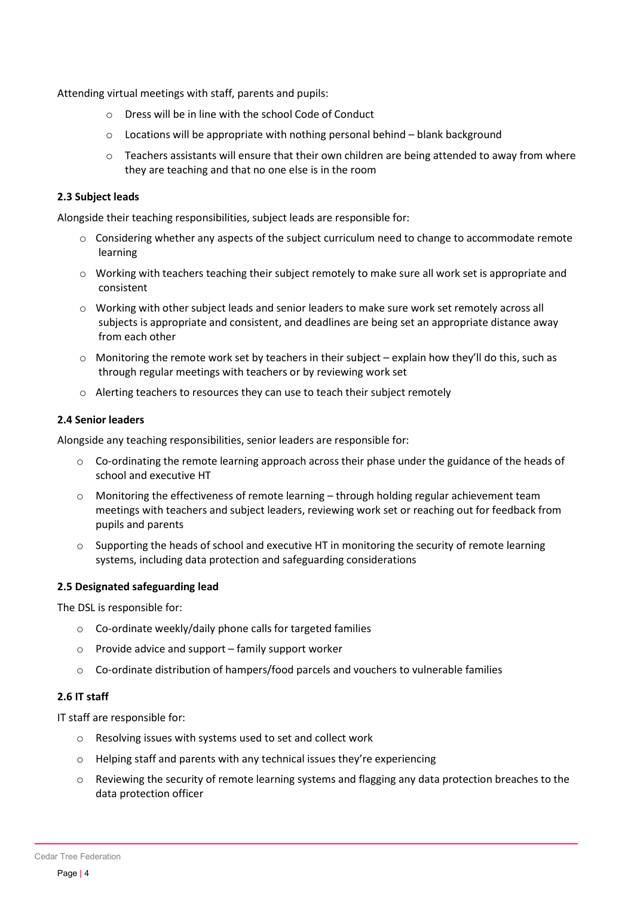Attending virtual meetings with staff, parents and pupils:

- o Dress will be in line with the school Code of Conduct
- $\circ$  Locations will be appropriate with nothing personal behind blank background
- $\circ$  Teachers assistants will ensure that their own children are being attended to away from where they are teaching and that no one else is in the room

#### 2.3 Subject leads

Alongside their teaching responsibilities, subject leads are responsible for:

- $\circ$  Considering whether any aspects of the subject curriculum need to change to accommodate remote learning
- o Working with teachers teaching their subject remotely to make sure all work set is appropriate and consistent
- o Working with other subject leads and senior leaders to make sure work set remotely across all subjects is appropriate and consistent, and deadlines are being set an appropriate distance away from each other
- $\circ$  Monitoring the remote work set by teachers in their subject explain how they'll do this, such as through regular meetings with teachers or by reviewing work set
- o Alerting teachers to resources they can use to teach their subject remotely

#### 2.4 Senior leaders

Alongside any teaching responsibilities, senior leaders are responsible for:

- $\circ$  Co-ordinating the remote learning approach across their phase under the guidance of the heads of school and executive HT
- o Monitoring the effectiveness of remote learning through holding regular achievement team meetings with teachers and subject leaders, reviewing work set or reaching out for feedback from pupils and parents
- o Supporting the heads of school and executive HT in monitoring the security of remote learning systems, including data protection and safeguarding considerations

#### 2.5 Designated safeguarding lead

The DSL is responsible for:

- o Co-ordinate weekly/daily phone calls for targeted families
- o Provide advice and support family support worker
- o Co-ordinate distribution of hampers/food parcels and vouchers to vulnerable families

#### 2.6 IT staff

IT staff are responsible for:

- o Resolving issues with systems used to set and collect work
- o Helping staff and parents with any technical issues they're experiencing
- o Reviewing the security of remote learning systems and flagging any data protection breaches to the data protection officer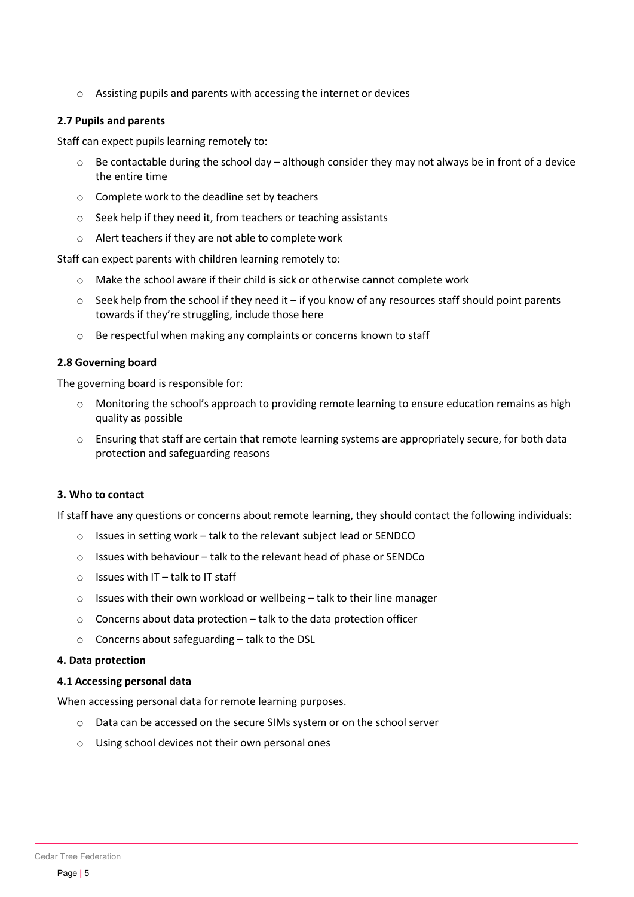o Assisting pupils and parents with accessing the internet or devices

#### 2.7 Pupils and parents

Staff can expect pupils learning remotely to:

- $\circ$  Be contactable during the school day although consider they may not always be in front of a device the entire time
- o Complete work to the deadline set by teachers
- o Seek help if they need it, from teachers or teaching assistants
- o Alert teachers if they are not able to complete work

Staff can expect parents with children learning remotely to:

- $\circ$  Make the school aware if their child is sick or otherwise cannot complete work
- $\circ$  Seek help from the school if they need it if you know of any resources staff should point parents towards if they're struggling, include those here
- o Be respectful when making any complaints or concerns known to staff

### 2.8 Governing board

The governing board is responsible for:

- $\circ$  Monitoring the school's approach to providing remote learning to ensure education remains as high quality as possible
- $\circ$  Ensuring that staff are certain that remote learning systems are appropriately secure, for both data protection and safeguarding reasons

## 3. Who to contact

If staff have any questions or concerns about remote learning, they should contact the following individuals:

- o Issues in setting work talk to the relevant subject lead or SENDCO
- o Issues with behaviour talk to the relevant head of phase or SENDCo
- $\circ$  Issues with IT talk to IT staff
- o Issues with their own workload or wellbeing talk to their line manager
- o Concerns about data protection talk to the data protection officer
- o Concerns about safeguarding talk to the DSL

#### 4. Data protection

#### 4.1 Accessing personal data

When accessing personal data for remote learning purposes.

- o Data can be accessed on the secure SIMs system or on the school server
- o Using school devices not their own personal ones